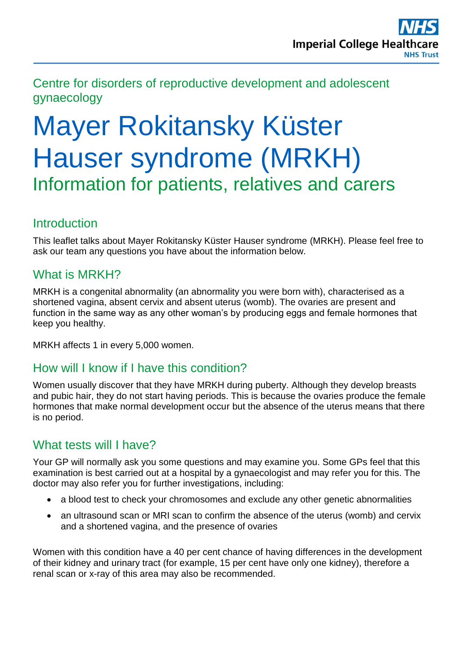Centre for disorders of reproductive development and adolescent gynaecology

# Mayer Rokitansky Küster Hauser syndrome (MRKH) Information for patients, relatives and carers

## **Introduction**

This leaflet talks about Mayer Rokitansky Küster Hauser syndrome (MRKH). Please feel free to ask our team any questions you have about the information below.

## What is MRKH?

MRKH is a congenital abnormality (an abnormality you were born with), characterised as a shortened vagina, absent cervix and absent uterus (womb). The ovaries are present and function in the same way as any other woman's by producing eggs and female hormones that keep you healthy.

MRKH affects 1 in every 5,000 women.

#### How will I know if I have this condition?

Women usually discover that they have MRKH during puberty. Although they develop breasts and pubic hair, they do not start having periods. This is because the ovaries produce the female hormones that make normal development occur but the absence of the uterus means that there is no period.

# What tests will I have?

Your GP will normally ask you some questions and may examine you. Some GPs feel that this examination is best carried out at a hospital by a gynaecologist and may refer you for this. The doctor may also refer you for further investigations, including:

- a blood test to check your chromosomes and exclude any other genetic abnormalities
- an ultrasound scan or MRI scan to confirm the absence of the uterus (womb) and cervix and a shortened vagina, and the presence of ovaries

Women with this condition have a 40 per cent chance of having differences in the development of their kidney and urinary tract (for example, 15 per cent have only one kidney), therefore a renal scan or x-ray of this area may also be recommended.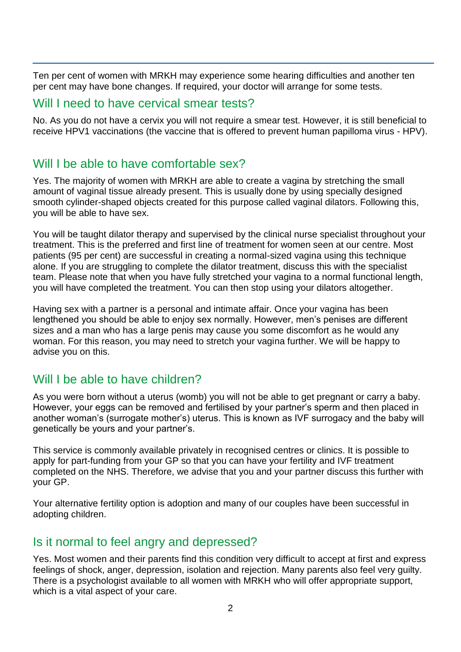Ten per cent of women with MRKH may experience some hearing difficulties and another ten per cent may have bone changes. If required, your doctor will arrange for some tests.

#### Will I need to have cervical smear tests?

No. As you do not have a cervix you will not require a smear test. However, it is still beneficial to receive HPV1 vaccinations (the vaccine that is offered to prevent human papilloma virus - HPV).

# Will I be able to have comfortable sex?

Yes. The majority of women with MRKH are able to create a vagina by stretching the small amount of vaginal tissue already present. This is usually done by using specially designed smooth cylinder-shaped objects created for this purpose called vaginal dilators. Following this, you will be able to have sex.

You will be taught dilator therapy and supervised by the clinical nurse specialist throughout your treatment. This is the preferred and first line of treatment for women seen at our centre. Most patients (95 per cent) are successful in creating a normal-sized vagina using this technique alone. If you are struggling to complete the dilator treatment, discuss this with the specialist team. Please note that when you have fully stretched your vagina to a normal functional length, you will have completed the treatment. You can then stop using your dilators altogether.

Having sex with a partner is a personal and intimate affair. Once your vagina has been lengthened you should be able to enjoy sex normally. However, men's penises are different sizes and a man who has a large penis may cause you some discomfort as he would any woman. For this reason, you may need to stretch your vagina further. We will be happy to advise you on this.

# Will I be able to have children?

As you were born without a uterus (womb) you will not be able to get pregnant or carry a baby. However, your eggs can be removed and fertilised by your partner's sperm and then placed in another woman's (surrogate mother's) uterus. This is known as IVF surrogacy and the baby will genetically be yours and your partner's.

This service is commonly available privately in recognised centres or clinics. It is possible to apply for part-funding from your GP so that you can have your fertility and IVF treatment completed on the NHS. Therefore, we advise that you and your partner discuss this further with your GP.

Your alternative fertility option is adoption and many of our couples have been successful in adopting children.

#### Is it normal to feel angry and depressed?

Yes. Most women and their parents find this condition very difficult to accept at first and express feelings of shock, anger, depression, isolation and rejection. Many parents also feel very guilty. There is a psychologist available to all women with MRKH who will offer appropriate support, which is a vital aspect of your care.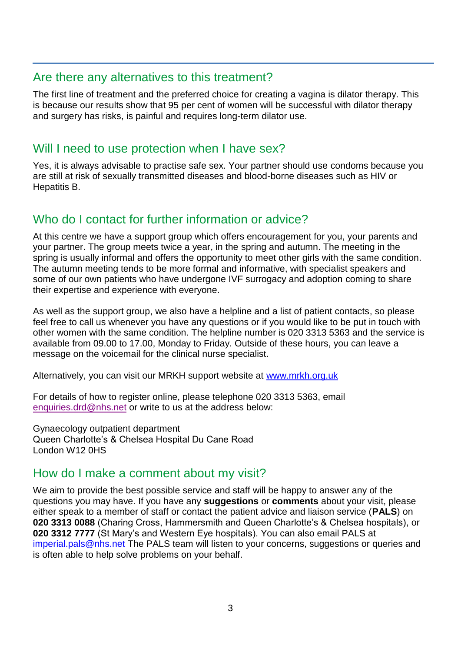#### Are there any alternatives to this treatment?

The first line of treatment and the preferred choice for creating a vagina is dilator therapy. This is because our results show that 95 per cent of women will be successful with dilator therapy and surgery has risks, is painful and requires long-term dilator use.

## Will I need to use protection when I have sex?

Yes, it is always advisable to practise safe sex. Your partner should use condoms because you are still at risk of sexually transmitted diseases and blood-borne diseases such as HIV or Hepatitis B.

## Who do I contact for further information or advice?

At this centre we have a support group which offers encouragement for you, your parents and your partner. The group meets twice a year, in the spring and autumn. The meeting in the spring is usually informal and offers the opportunity to meet other girls with the same condition. The autumn meeting tends to be more formal and informative, with specialist speakers and some of our own patients who have undergone IVF surrogacy and adoption coming to share their expertise and experience with everyone.

As well as the support group, we also have a helpline and a list of patient contacts, so please feel free to call us whenever you have any questions or if you would like to be put in touch with other women with the same condition. The helpline number is 020 3313 5363 and the service is available from 09.00 to 17.00, Monday to Friday. Outside of these hours, you can leave a message on the voicemail for the clinical nurse specialist.

Alternatively, you can visit our MRKH support website at [www.mrkh.org.uk](http://www.mrkh.org.uk/)

For details of how to register online, please telephone 020 3313 5363, email [enquiries.drd@nhs.net](mailto:enquiries.drd@nhs.net) or write to us at the address below:

Gynaecology outpatient department Queen Charlotte's & Chelsea Hospital Du Cane Road London W12 0HS

#### How do I make a comment about my visit?

We aim to provide the best possible service and staff will be happy to answer any of the questions you may have. If you have any **suggestions** or **comments** about your visit, please either speak to a member of staff or contact the patient advice and liaison service (**PALS**) on **020 3313 0088** (Charing Cross, Hammersmith and Queen Charlotte's & Chelsea hospitals), or **020 3312 7777** (St Mary's and Western Eye hospitals). You can also email PALS at [imperial.pals@nhs.net](mailto:imperial.pals@nhs.net) The PALS team will listen to your concerns, suggestions or queries and is often able to help solve problems on your behalf.